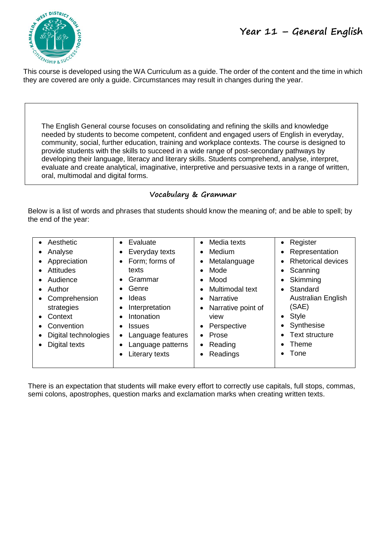

This course is developed using the WA Curriculum as a guide. The order of the content and the time in which they are covered are only a guide. Circumstances may result in changes during the year.

The English General course focuses on consolidating and refining the skills and knowledge needed by students to become competent, confident and engaged users of English in everyday, community, social, further education, training and workplace contexts. The course is designed to provide students with the skills to succeed in a wide range of post-secondary pathways by developing their language, literacy and literary skills. Students comprehend, analyse, interpret, evaluate and create analytical, imaginative, interpretive and persuasive texts in a range of written, oral, multimodal and digital forms.

#### **Vocabulary & Grammar**

Below is a list of words and phrases that students should know the meaning of; and be able to spell; by the end of the year:

| • Aesthetic<br>Analyse<br>٠<br>Appreciation<br>$\bullet$<br>Attitudes<br>$\bullet$<br>Audience<br>$\bullet$<br>Author<br>$\bullet$<br>Comprehension<br>$\bullet$<br>strategies<br>Context<br>$\bullet$<br>Convention<br>$\bullet$<br>Digital technologies<br>٠<br>Digital texts<br>$\bullet$ | Evaluate<br>$\bullet$<br>Everyday texts<br>٠<br>Form; forms of<br>$\bullet$<br>texts<br>Grammar<br>$\bullet$<br>Genre<br>Ideas<br>$\bullet$<br>Interpretation<br>$\bullet$<br>Intonation<br>$\bullet$<br><b>Issues</b><br>$\bullet$<br>Language features<br>$\bullet$<br>Language patterns<br>٠<br>Literary texts<br>$\bullet$ | Media texts<br>$\bullet$<br>Medium<br>Metalanguage<br>Mode<br>Mood<br>Multimodal text<br>Narrative<br>$\bullet$<br>Narrative point of<br>view<br>Perspective<br>Prose<br>Reading<br>Readings | Register<br>Representation<br><b>Rhetorical devices</b><br>Scanning<br>Skimming<br>Standard<br>$\bullet$<br><b>Australian English</b><br>(SAE)<br>Style<br>$\bullet$<br>Synthesise<br><b>Text structure</b><br>Theme<br>Tone |
|----------------------------------------------------------------------------------------------------------------------------------------------------------------------------------------------------------------------------------------------------------------------------------------------|--------------------------------------------------------------------------------------------------------------------------------------------------------------------------------------------------------------------------------------------------------------------------------------------------------------------------------|----------------------------------------------------------------------------------------------------------------------------------------------------------------------------------------------|------------------------------------------------------------------------------------------------------------------------------------------------------------------------------------------------------------------------------|
|----------------------------------------------------------------------------------------------------------------------------------------------------------------------------------------------------------------------------------------------------------------------------------------------|--------------------------------------------------------------------------------------------------------------------------------------------------------------------------------------------------------------------------------------------------------------------------------------------------------------------------------|----------------------------------------------------------------------------------------------------------------------------------------------------------------------------------------------|------------------------------------------------------------------------------------------------------------------------------------------------------------------------------------------------------------------------------|

There is an expectation that students will make every effort to correctly use capitals, full stops, commas, semi colons, apostrophes, question marks and exclamation marks when creating written texts.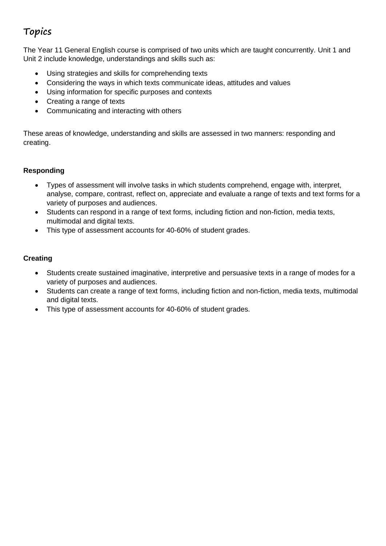## **Topics**

The Year 11 General English course is comprised of two units which are taught concurrently. Unit 1 and Unit 2 include knowledge, understandings and skills such as:

- Using strategies and skills for comprehending texts
- Considering the ways in which texts communicate ideas, attitudes and values
- Using information for specific purposes and contexts
- Creating a range of texts
- Communicating and interacting with others

These areas of knowledge, understanding and skills are assessed in two manners: responding and creating.

#### **Responding**

- Types of assessment will involve tasks in which students comprehend, engage with, interpret, analyse, compare, contrast, reflect on, appreciate and evaluate a range of texts and text forms for a variety of purposes and audiences.
- Students can respond in a range of text forms, including fiction and non-fiction, media texts, multimodal and digital texts.
- This type of assessment accounts for 40-60% of student grades.

#### **Creating**

- Students create sustained imaginative, interpretive and persuasive texts in a range of modes for a variety of purposes and audiences.
- Students can create a range of text forms, including fiction and non-fiction, media texts, multimodal and digital texts.
- This type of assessment accounts for 40-60% of student grades.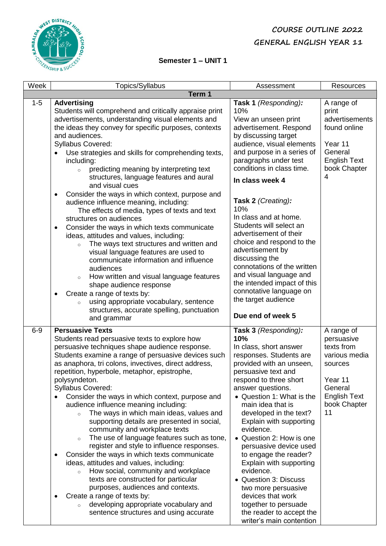### **COURSE OUTLINE 2022 GENERAL ENGLISH YEAR 11**



#### **Semester 1 – UNIT 1**

| Week    | Topics/Syllabus                                                                                                                                                                                                                                                                                                                                                                                                                                                                                                                                                                                                                                                                                                                                                                                                                                                                                                                                                                                                                                                                                                              | Assessment                                                                                                                                                                                                                                                                                                                                                                                                                                                                                                                                                                              | <b>Resources</b>                                                                                                                      |  |  |
|---------|------------------------------------------------------------------------------------------------------------------------------------------------------------------------------------------------------------------------------------------------------------------------------------------------------------------------------------------------------------------------------------------------------------------------------------------------------------------------------------------------------------------------------------------------------------------------------------------------------------------------------------------------------------------------------------------------------------------------------------------------------------------------------------------------------------------------------------------------------------------------------------------------------------------------------------------------------------------------------------------------------------------------------------------------------------------------------------------------------------------------------|-----------------------------------------------------------------------------------------------------------------------------------------------------------------------------------------------------------------------------------------------------------------------------------------------------------------------------------------------------------------------------------------------------------------------------------------------------------------------------------------------------------------------------------------------------------------------------------------|---------------------------------------------------------------------------------------------------------------------------------------|--|--|
|         | Term 1                                                                                                                                                                                                                                                                                                                                                                                                                                                                                                                                                                                                                                                                                                                                                                                                                                                                                                                                                                                                                                                                                                                       |                                                                                                                                                                                                                                                                                                                                                                                                                                                                                                                                                                                         |                                                                                                                                       |  |  |
| $1 - 5$ | <b>Advertising</b><br>Students will comprehend and critically appraise print<br>advertisements, understanding visual elements and<br>the ideas they convey for specific purposes, contexts<br>and audiences.<br>Syllabus Covered:<br>Use strategies and skills for comprehending texts,<br>including:<br>predicting meaning by interpreting text<br>$\circ$<br>structures, language features and aural<br>and visual cues<br>Consider the ways in which context, purpose and<br>$\bullet$<br>audience influence meaning, including:<br>The effects of media, types of texts and text<br>structures on audiences<br>Consider the ways in which texts communicate<br>$\bullet$<br>ideas, attitudes and values, including:<br>The ways text structures and written and<br>$\circ$<br>visual language features are used to<br>communicate information and influence<br>audiences<br>How written and visual language features<br>$\circ$<br>shape audience response<br>Create a range of texts by:<br>$\bullet$<br>using appropriate vocabulary, sentence<br>$\circ$<br>structures, accurate spelling, punctuation<br>and grammar | Task 1 (Responding):<br>10%<br>View an unseen print<br>advertisement. Respond<br>by discussing target<br>audience, visual elements<br>and purpose in a series of<br>paragraphs under test<br>conditions in class time.<br>In class week 4<br>Task 2 (Creating):<br>10%<br>In class and at home.<br>Students will select an<br>advertisement of their<br>choice and respond to the<br>advertisement by<br>discussing the<br>connotations of the written<br>and visual language and<br>the intended impact of this<br>connotative language on<br>the target audience<br>Due end of week 5 | A range of<br>print<br>advertisements<br>found online<br>Year 11<br>General<br><b>English Text</b><br>book Chapter<br>4               |  |  |
| $6-9$   | <b>Persuasive Texts</b><br>Students read persuasive texts to explore how<br>persuasive techniques shape audience response.<br>Students examine a range of persuasive devices such<br>as anaphora, tri colons, invectives, direct address,<br>repetition, hyperbole, metaphor, epistrophe,<br>polysyndeton.<br>Syllabus Covered:<br>Consider the ways in which context, purpose and<br>$\bullet$<br>audience influence meaning including:<br>The ways in which main ideas, values and<br>$\circ$<br>supporting details are presented in social,<br>community and workplace texts<br>The use of language features such as tone,<br>$\circ$<br>register and style to influence responses.<br>Consider the ways in which texts communicate<br>$\bullet$<br>ideas, attitudes and values, including:<br>How social, community and workplace<br>$\circ$<br>texts are constructed for particular<br>purposes, audiences and contexts.<br>Create a range of texts by:<br>$\bullet$<br>developing appropriate vocabulary and<br>$\circ$<br>sentence structures and using accurate                                                      | Task 3 (Responding):<br>10%<br>In class, short answer<br>responses. Students are<br>provided with an unseen,<br>persuasive text and<br>respond to three short<br>answer questions.<br>• Question 1: What is the<br>main idea that is<br>developed in the text?<br>Explain with supporting<br>evidence.<br>• Question 2: How is one<br>persuasive device used<br>to engage the reader?<br>Explain with supporting<br>evidence.<br>• Question 3: Discuss<br>two more persuasive<br>devices that work<br>together to persuade<br>the reader to accept the<br>writer's main contention      | A range of<br>persuasive<br>texts from<br>various media<br>sources<br>Year 11<br>General<br><b>English Text</b><br>book Chapter<br>11 |  |  |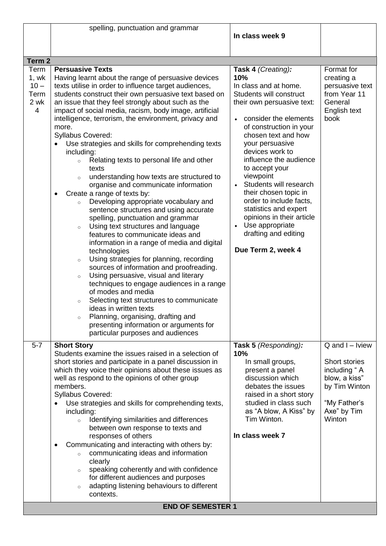|                                                           | spelling, punctuation and grammar                                                                                                                                                                                                                                                                                                                                                                                                                                                                                                                                                                                                                                                                                                                                                                                                                                     |                                                                                                                                                                                                                                                                                                                                                                                                                                                           |                                                                                                                                         |
|-----------------------------------------------------------|-----------------------------------------------------------------------------------------------------------------------------------------------------------------------------------------------------------------------------------------------------------------------------------------------------------------------------------------------------------------------------------------------------------------------------------------------------------------------------------------------------------------------------------------------------------------------------------------------------------------------------------------------------------------------------------------------------------------------------------------------------------------------------------------------------------------------------------------------------------------------|-----------------------------------------------------------------------------------------------------------------------------------------------------------------------------------------------------------------------------------------------------------------------------------------------------------------------------------------------------------------------------------------------------------------------------------------------------------|-----------------------------------------------------------------------------------------------------------------------------------------|
|                                                           |                                                                                                                                                                                                                                                                                                                                                                                                                                                                                                                                                                                                                                                                                                                                                                                                                                                                       | In class week 9                                                                                                                                                                                                                                                                                                                                                                                                                                           |                                                                                                                                         |
|                                                           |                                                                                                                                                                                                                                                                                                                                                                                                                                                                                                                                                                                                                                                                                                                                                                                                                                                                       |                                                                                                                                                                                                                                                                                                                                                                                                                                                           |                                                                                                                                         |
|                                                           |                                                                                                                                                                                                                                                                                                                                                                                                                                                                                                                                                                                                                                                                                                                                                                                                                                                                       |                                                                                                                                                                                                                                                                                                                                                                                                                                                           |                                                                                                                                         |
| Term <sub>2</sub>                                         |                                                                                                                                                                                                                                                                                                                                                                                                                                                                                                                                                                                                                                                                                                                                                                                                                                                                       |                                                                                                                                                                                                                                                                                                                                                                                                                                                           |                                                                                                                                         |
| Term<br>1, wk<br>$10 -$<br>Term<br>2 wk<br>$\overline{4}$ | <b>Persuasive Texts</b><br>Having learnt about the range of persuasive devices<br>texts utilise in order to influence target audiences,<br>students construct their own persuasive text based on<br>an issue that they feel strongly about such as the<br>impact of social media, racism, body image, artificial<br>intelligence, terrorism, the environment, privacy and<br>more.<br><b>Syllabus Covered:</b><br>Use strategies and skills for comprehending texts<br>including:<br>Relating texts to personal life and other<br>$\circ$<br>texts<br>understanding how texts are structured to<br>$\circ$<br>organise and communicate information<br>Create a range of texts by:<br>Developing appropriate vocabulary and<br>$\circ$<br>sentence structures and using accurate<br>spelling, punctuation and grammar<br>Using text structures and language<br>$\circ$ | Task 4 (Creating):<br>10%<br>In class and at home.<br>Students will construct<br>their own persuasive text:<br>consider the elements<br>of construction in your<br>chosen text and how<br>your persuasive<br>devices work to<br>influence the audience<br>to accept your<br>viewpoint<br>Students will research<br>$\bullet$<br>their chosen topic in<br>order to include facts,<br>statistics and expert<br>opinions in their article<br>Use appropriate | Format for<br>creating a<br>persuasive text<br>from Year 11<br>General<br>English text<br>book                                          |
|                                                           | features to communicate ideas and<br>information in a range of media and digital<br>technologies<br>Using strategies for planning, recording<br>$\circ$<br>sources of information and proofreading.<br>Using persuasive, visual and literary<br>$\circ$<br>techniques to engage audiences in a range<br>of modes and media<br>Selecting text structures to communicate<br>$\circ$<br>ideas in written texts<br>Planning, organising, drafting and<br>$\circ$<br>presenting information or arguments for<br>particular purposes and audiences                                                                                                                                                                                                                                                                                                                          | drafting and editing<br>Due Term 2, week 4                                                                                                                                                                                                                                                                                                                                                                                                                |                                                                                                                                         |
| $5-7$                                                     | <b>Short Story</b><br>Students examine the issues raised in a selection of<br>short stories and participate in a panel discussion in<br>which they voice their opinions about these issues as<br>well as respond to the opinions of other group<br>members.<br>Syllabus Covered:<br>Use strategies and skills for comprehending texts,<br>including:<br>Identifying similarities and differences<br>$\circ$<br>between own response to texts and<br>responses of others<br>Communicating and interacting with others by:<br>communicating ideas and information<br>$\circ$<br>clearly<br>speaking coherently and with confidence<br>$\circ$<br>for different audiences and purposes<br>adapting listening behaviours to different<br>$\circ$<br>contexts.                                                                                                             | Task 5 (Responding):<br>10%<br>In small groups,<br>present a panel<br>discussion which<br>debates the issues<br>raised in a short story<br>studied in class such<br>as "A blow, A Kiss" by<br>Tim Winton.<br>In class week 7                                                                                                                                                                                                                              | $Q$ and $I - I$ view<br><b>Short stories</b><br>including "A<br>blow, a kiss"<br>by Tim Winton<br>"My Father's<br>Axe" by Tim<br>Winton |
|                                                           | <b>END OF SEMESTER 1</b>                                                                                                                                                                                                                                                                                                                                                                                                                                                                                                                                                                                                                                                                                                                                                                                                                                              |                                                                                                                                                                                                                                                                                                                                                                                                                                                           |                                                                                                                                         |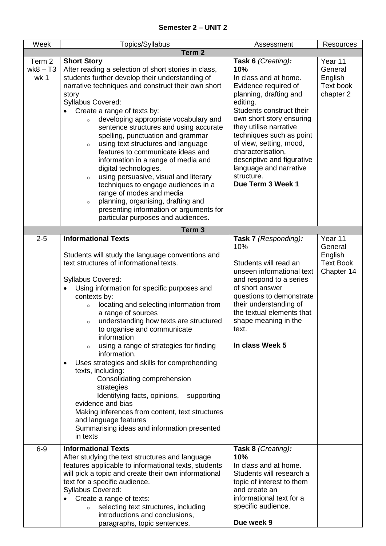| Week                         | Topics/Syllabus                                                                                                                                                                                                                                                                                                                                                                                                                                                                                                                                                                                                                                                                                                                                                                         | Assessment                                                                                                                                                                                                                                                                                                                                                                | <b>Resources</b>                                                |  |  |
|------------------------------|-----------------------------------------------------------------------------------------------------------------------------------------------------------------------------------------------------------------------------------------------------------------------------------------------------------------------------------------------------------------------------------------------------------------------------------------------------------------------------------------------------------------------------------------------------------------------------------------------------------------------------------------------------------------------------------------------------------------------------------------------------------------------------------------|---------------------------------------------------------------------------------------------------------------------------------------------------------------------------------------------------------------------------------------------------------------------------------------------------------------------------------------------------------------------------|-----------------------------------------------------------------|--|--|
|                              | Term <sub>2</sub>                                                                                                                                                                                                                                                                                                                                                                                                                                                                                                                                                                                                                                                                                                                                                                       |                                                                                                                                                                                                                                                                                                                                                                           |                                                                 |  |  |
| Term 2<br>$wk8 - T3$<br>wk 1 | <b>Short Story</b><br>After reading a selection of short stories in class,<br>students further develop their understanding of<br>narrative techniques and construct their own short<br>story<br>Syllabus Covered:<br>Create a range of texts by:<br>developing appropriate vocabulary and<br>sentence structures and using accurate<br>spelling, punctuation and grammar<br>using text structures and language<br>$\circ$<br>features to communicate ideas and<br>information in a range of media and<br>digital technologies.<br>using persuasive, visual and literary<br>$\circ$<br>techniques to engage audiences in a<br>range of modes and media<br>planning, organising, drafting and<br>$\circ$<br>presenting information or arguments for<br>particular purposes and audiences. | Task 6 (Creating):<br>10%<br>In class and at home.<br>Evidence required of<br>planning, drafting and<br>editing.<br>Students construct their<br>own short story ensuring<br>they utilise narrative<br>techniques such as point<br>of view, setting, mood,<br>characterisation,<br>descriptive and figurative<br>language and narrative<br>structure.<br>Due Term 3 Week 1 | Year 11<br>General<br>English<br>Text book<br>chapter 2         |  |  |
|                              | Term <sub>3</sub>                                                                                                                                                                                                                                                                                                                                                                                                                                                                                                                                                                                                                                                                                                                                                                       |                                                                                                                                                                                                                                                                                                                                                                           |                                                                 |  |  |
| $2 - 5$                      | <b>Informational Texts</b><br>Students will study the language conventions and<br>text structures of informational texts.<br>Syllabus Covered:<br>Using information for specific purposes and<br>$\bullet$<br>contexts by:<br>locating and selecting information from<br>a range of sources<br>understanding how texts are structured<br>$\circ$<br>to organise and communicate<br>information<br>using a range of strategies for finding<br>information.<br>Uses strategies and skills for comprehending<br>texts, including:<br>Consolidating comprehension<br>strategies<br>Identifying facts, opinions, supporting<br>evidence and bias<br>Making inferences from content, text structures<br>and language features<br>Summarising ideas and information presented<br>in texts      | Task 7 (Responding):<br>10%<br>Students will read an<br>unseen informational text<br>and respond to a series<br>of short answer<br>questions to demonstrate<br>their understanding of<br>the textual elements that<br>shape meaning in the<br>text.<br>In class Week 5                                                                                                    | Year 11<br>General<br>English<br><b>Text Book</b><br>Chapter 14 |  |  |
| $6-9$                        | <b>Informational Texts</b><br>After studying the text structures and language<br>features applicable to informational texts, students<br>will pick a topic and create their own informational<br>text for a specific audience.<br>Syllabus Covered:<br>Create a range of texts:<br>selecting text structures, including<br>$\circ$<br>introductions and conclusions,<br>paragraphs, topic sentences,                                                                                                                                                                                                                                                                                                                                                                                    | Task 8 (Creating):<br>10%<br>In class and at home.<br>Students will research a<br>topic of interest to them<br>and create an<br>informational text for a<br>specific audience.<br>Due week 9                                                                                                                                                                              |                                                                 |  |  |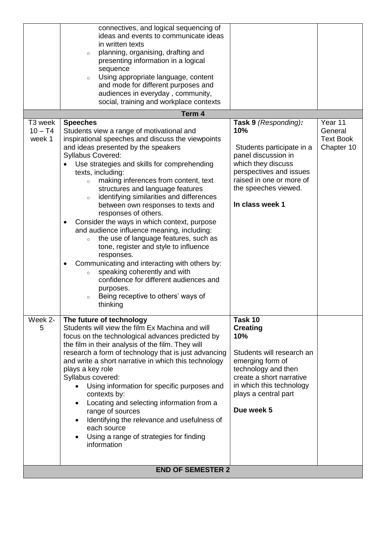|                                | connectives, and logical sequencing of<br>ideas and events to communicate ideas<br>in written texts<br>planning, organising, drafting and<br>$\circ$<br>presenting information in a logical<br>sequence<br>Using appropriate language, content<br>$\circ$<br>and mode for different purposes and<br>audiences in everyday, community,<br>social, training and workplace contexts                                                                                                                                                                                                                                                                                                                                                                                                                                                                                                                   |                                                                                                                                                                                                         |                                                      |
|--------------------------------|----------------------------------------------------------------------------------------------------------------------------------------------------------------------------------------------------------------------------------------------------------------------------------------------------------------------------------------------------------------------------------------------------------------------------------------------------------------------------------------------------------------------------------------------------------------------------------------------------------------------------------------------------------------------------------------------------------------------------------------------------------------------------------------------------------------------------------------------------------------------------------------------------|---------------------------------------------------------------------------------------------------------------------------------------------------------------------------------------------------------|------------------------------------------------------|
|                                | Term 4                                                                                                                                                                                                                                                                                                                                                                                                                                                                                                                                                                                                                                                                                                                                                                                                                                                                                             |                                                                                                                                                                                                         |                                                      |
| T3 week<br>$10 - T4$<br>week 1 | <b>Speeches</b><br>Students view a range of motivational and<br>inspirational speeches and discuss the viewpoints<br>and ideas presented by the speakers<br>Syllabus Covered:<br>Use strategies and skills for comprehending<br>texts, including:<br>making inferences from content, text<br>$\circ$<br>structures and language features<br>identifying similarities and differences<br>$\circ$<br>between own responses to texts and<br>responses of others.<br>Consider the ways in which context, purpose<br>$\bullet$<br>and audience influence meaning, including:<br>the use of language features, such as<br>$\circ$<br>tone, register and style to influence<br>responses.<br>Communicating and interacting with others by:<br>speaking coherently and with<br>$\circ$<br>confidence for different audiences and<br>purposes.<br>Being receptive to others' ways of<br>$\circ$<br>thinking | Task 9 (Responding):<br>10%<br>Students participate in a<br>panel discussion in<br>which they discuss<br>perspectives and issues<br>raised in one or more of<br>the speeches viewed.<br>In class week 1 | Year 11<br>General<br><b>Text Book</b><br>Chapter 10 |
| Week 2-<br>5                   | The future of technology<br>Students will view the film Ex Machina and will<br>focus on the technological advances predicted by<br>the film in their analysis of the film. They will<br>research a form of technology that is just advancing<br>and write a short narrative in which this technology<br>plays a key role<br>Syllabus covered:<br>Using information for specific purposes and<br>contexts by:<br>Locating and selecting information from a<br>range of sources<br>Identifying the relevance and usefulness of<br>each source<br>Using a range of strategies for finding<br>information<br><b>END OF SEMESTER 2</b>                                                                                                                                                                                                                                                                  | Task 10<br><b>Creating</b><br>10%<br>Students will research an<br>emerging form of<br>technology and then<br>create a short narrative<br>in which this technology<br>plays a central part<br>Due week 5 |                                                      |
|                                |                                                                                                                                                                                                                                                                                                                                                                                                                                                                                                                                                                                                                                                                                                                                                                                                                                                                                                    |                                                                                                                                                                                                         |                                                      |